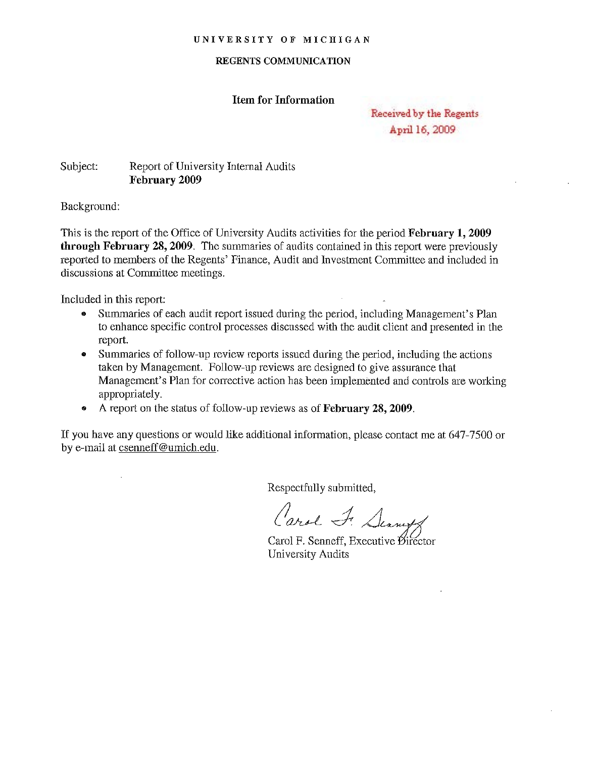#### UNIVERSITY OF MICHIGAN

#### REGENTS COMMUNICATION

### Item for Information

Received by the Regents April 16, 2009

#### Subject: Report of University Internal Audits February 2009

Background:

This is the report of the Office of University Audits activities for the period **February 1, 2009** through February 28, 2009. The summaries of audits contained in this report were previously reported to members of the Regents' Finance, Audit and Investment Committee and included in discussions at Committee meetings.

Included in this report:

 $\bar{z}$ 

- Summaries of each audit report issued during the period, including Management's Plan to enhance specific control processes discussed with the audit client and presented in the report.
- Summaries of follow-up review reports issued during the period, including the actions taken by Management. Follow-up reviews are designed to give assurance that Management's Plan for corrective action has been implemented and controls are working appropriately.
- & A report on the status of follow-up reviews as of February 28, 2009.

If you have any questions or would like additional information, please contact me at 647-7500 or bye-mail at csenneff@umich.edu.

Respectfully submitted,

Carol F. Seany

University Audits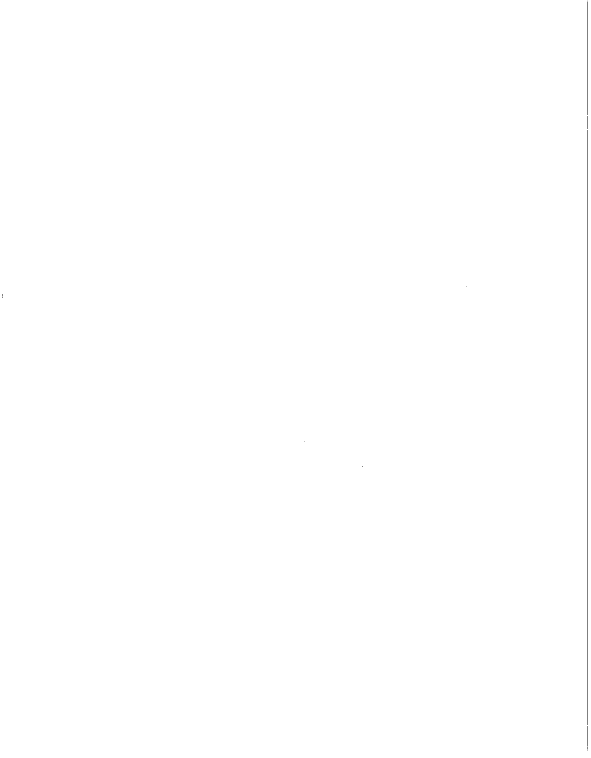$\label{eq:2.1} \frac{1}{\sqrt{2}}\left(\frac{1}{\sqrt{2}}\right)^{2} \left(\frac{1}{\sqrt{2}}\right)^{2} \left(\frac{1}{\sqrt{2}}\right)^{2} \left(\frac{1}{\sqrt{2}}\right)^{2} \left(\frac{1}{\sqrt{2}}\right)^{2} \left(\frac{1}{\sqrt{2}}\right)^{2} \left(\frac{1}{\sqrt{2}}\right)^{2} \left(\frac{1}{\sqrt{2}}\right)^{2} \left(\frac{1}{\sqrt{2}}\right)^{2} \left(\frac{1}{\sqrt{2}}\right)^{2} \left(\frac{1}{\sqrt{2}}\right)^{2} \left(\$ 

 $\label{eq:2.1} \frac{1}{\sqrt{2}}\int_{\mathbb{R}^3}\frac{1}{\sqrt{2}}\left(\frac{1}{\sqrt{2}}\right)^2\frac{1}{\sqrt{2}}\left(\frac{1}{\sqrt{2}}\right)^2\frac{1}{\sqrt{2}}\left(\frac{1}{\sqrt{2}}\right)^2\frac{1}{\sqrt{2}}\left(\frac{1}{\sqrt{2}}\right)^2.$  $\label{eq:2.1} \frac{1}{\sqrt{2}}\left(\frac{1}{\sqrt{2}}\right)^{2} \left(\frac{1}{\sqrt{2}}\right)^{2} \left(\frac{1}{\sqrt{2}}\right)^{2} \left(\frac{1}{\sqrt{2}}\right)^{2} \left(\frac{1}{\sqrt{2}}\right)^{2} \left(\frac{1}{\sqrt{2}}\right)^{2} \left(\frac{1}{\sqrt{2}}\right)^{2} \left(\frac{1}{\sqrt{2}}\right)^{2} \left(\frac{1}{\sqrt{2}}\right)^{2} \left(\frac{1}{\sqrt{2}}\right)^{2} \left(\frac{1}{\sqrt{2}}\right)^{2} \left(\$ 

 $\bar{\Gamma}$ 

 $\label{eq:2.1} \frac{1}{\sqrt{2}}\int_{\mathbb{R}^3}\frac{1}{\sqrt{2}}\left(\frac{1}{\sqrt{2}}\right)^2\frac{1}{\sqrt{2}}\left(\frac{1}{\sqrt{2}}\right)^2\frac{1}{\sqrt{2}}\left(\frac{1}{\sqrt{2}}\right)^2\frac{1}{\sqrt{2}}\left(\frac{1}{\sqrt{2}}\right)^2\frac{1}{\sqrt{2}}\left(\frac{1}{\sqrt{2}}\right)^2.$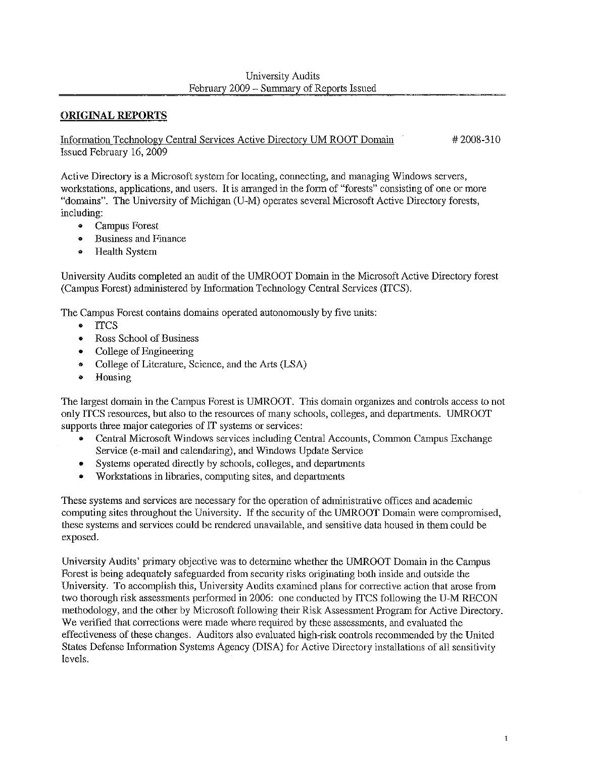### University Audits February 2009 - Summary of Reports Issued

# ORIGINAL **REPORTS**

Information Technology Central Services Active Directory UM ROOT Domain Issued February 16,2009

#2008-310

Active Directory is a Microsoft system for locating, connecting, and managing Windows servers, workstations, applications, and users. It is ananged in the form of "forests" consisting of one or more "domains". The University of Michigan (U-M) operates several Microsoft Active Directory forests, including:

- Campus Forest
- Business and Finance
- Health System

University Audits completed an audit of the UMROOT Domain in the Microsoft Active Directory forest (Campus Forest) administered by Information Technology Central Services CITCS).

The Campus Forest contains domains operated autonomously by five units:

- ITCS<br>• Ross
- Ross School of Business
- College of Engineering
- College of Literature, Science, and the Arts (LSA)
- Housing

The largest domain in the Campus Forest is UMROOT. This domain organizes and controls access to not only ITCS resources, but also to the resources of many schools, colleges, and departments. UMROOT supports three major categories of IT systems or services:

- Central Microsoft Windows services including Central Accounts, Common Campus Exchange Service (e-mail and calendaring), and Windows Update Service
- Systems operated directly by schools, colleges, and departments
- Workstations in libraries, computing sites, and departments

These systems and services are necessary for the operation of administrative offices and academic computing sites throughout the University. If the security of the UMROOT Domain were compromised, these systems and services could be rendered unavailable, and sensitive data housed in them could be exposed.

University Audits' primary objective was to determine whether theUMROOT Domain in the Campus Forest is being adequately safeguarded from security risks originating both inside and outside the University. To accomplish this, University Audits examined plans for conective action that arose from two thorough risk assessments performed in 2006: one conducted by ITCS following the U-M RECON methodology, and the other by Microsoft following their Risk Assessment Program for Active Directory. We verified that corrections were made where required by these assessments, and evaluated the effectiveness of these changes. Auditors also evaluated high-risk controls recommended by the United States Defense Information Systems Agency (DISA) for Active Directory installations of all sensitivity levels.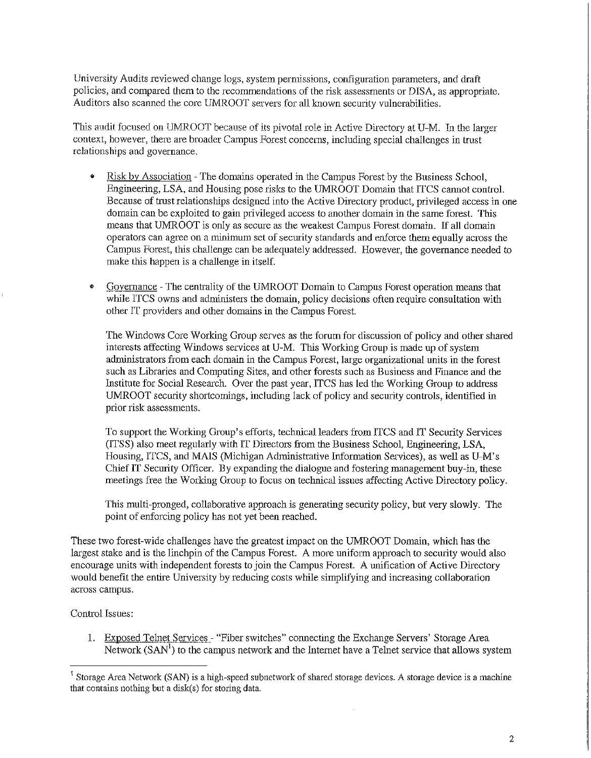University Audits reviewed change logs, system permissions, configuration parameters, and draft policies, and compared them to the recommendations of the risk assessments or DISA, as appropriate. Auditors also scanned the core UMROOT servers for all known security vulnerabilities.

This audit focused on UMROOT because of its pivotal role in Active Directory at U-M. In the larger context, however, there are broader Campus Forest concerns, including special challenges in trust relationships and governance.

- Risk by Association The domains operated in the Campus Forest by the Business School, Engineering, LSA, and Housing pose risks to the UMROOT Domain that ITCS cannot control. Because of trust relationships designed into the Active Directory product, privileged access in one domain can be exploited to gain privileged access to another domain in the same forest. This means that UMROOT is only as secure as the weakest Campus Forest domain. If all domain operators can agree on a minimum set of security standards and enforce them equally across the Campus Forest, this challenge can be adequately addressed. However, the governance needed to make this happen is a challenge in itself.
- Governance The centrality of the UMROOT Domain to Campus Forest operation means that while ITCS owns and administers the domain, policy decisions often require consultation with other IT providers and other domains in the Campus Forest.

The Windows Core Working Group serves as the forum for discussion of policy and other shared interests affecting Windows services at U-M. This Working Group is made up of system administrators from each domain in the Campus Forest, large organizational units in the forest such as Libraries and Computing Sites, and other forests such as Business and Finance and the Institute for Social Research. Over the past year, ITCS has led the Working Group to address UMROOT security shortcomings, including lack of policy and security controls, identified in prior risk assessments.

To support the Working Group's efforts, technical leaders from ITCS and IT Security Services (ITSS) also meet regularly with IT Directors from the Business School, Engineering, LSA, Housing, ITCS, and MAIS (Michigan Administrative Information Services), as well as U-M's Chief IT Security Officer. By expanding the dialogue and fostering management buy-in, these meetings free the Working Group to focus on technical issues affecting Active Directory policy.

This multi-pronged, collaborative approach is generating security policy, but very slowly. The point of enforcing policy has not yet been reached.

These two forest-wide challenges have the greatest impact on the UMROOT Domain, which has the largest stake and is the linchpin of the Campus Forest. A more uniform approach to security would also encourage units with independent forests to join the Campus Forest. A unification of Active Directory would benefit the entire University by reducing costs while simplifying and increasing collaboration across campus.

#### Control Issues:

1. Exposed Telnet Services - "Fiber switches" connecting the Exchange Servers' Storage Area Network  $(SAN<sup>1</sup>)$  to the campus network and the Internet have a Telnet service that allows system

<sup>&</sup>lt;sup>1</sup> Storage Area Network (SAN) is a high-speed subnetwork of shared storage devices. A storage device is a machine that contains nothing but a  $disk(s)$  for storing data.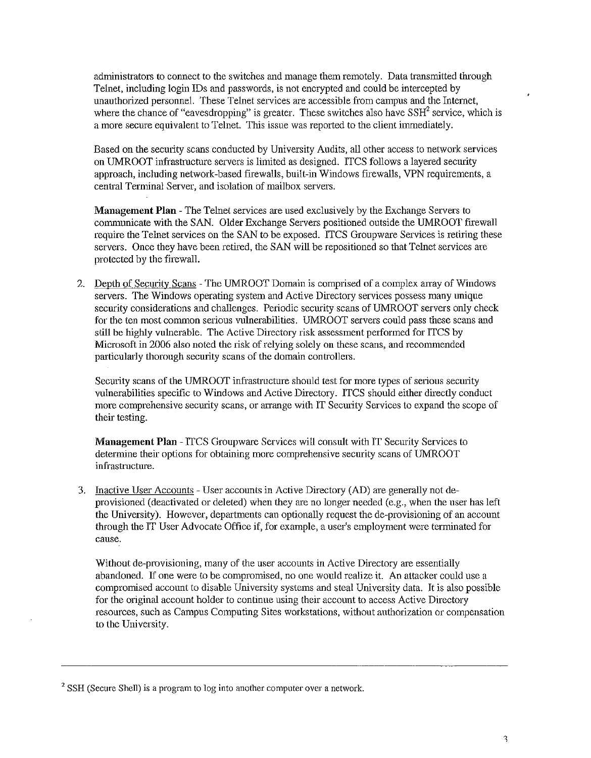administrators to connect to the switches and manage them remotely. Data transmitted through Telnet, including login IDs and passwords, is not encrypted and could be intercepted by unauthorized personnel. These Telnet services are accessible from campus and the Internet, where the chance of "eavesdropping" is greater. These switches also have  $SSH<sup>2</sup>$  service, which is a more secure equivalent to Telnet. This issue was reported to the client immediately.

Based on the security scans conducted by University Audits, all other access to network services on UMROOT infrastructure servers is limited as designed. *ITCS* follows a layered security approach, including network-based firewalls, built-in Windows firewalls, VPN requirements, a central Terminal Server, and isolation of mailbox servers.

Management Plan - The Telnet services are used exclusively by the Exchange Servers to communicate with the SAN. Older Exchange Servers positioned outside the UMROOT firewall require the Telnet services on the SAN to be exposed. *ITCS* Groupware Services is retiring these servers. Once they have been retired, the SAN will be repositioned so that Telnet services are protected by the firewall.

2. Depth of Security Scans - The UMROOT Domain is comprised of a complex array of Windows servers. The Windows operating system and Active Directory services possess many unique security considerations and challenges. Periodic security scans of UMROOT servers only check for the ten most common serious vulnerabilities. UMROOT servers could pass these scans and still be highly vulnerable. The Active Directory risk assessment performed for *ITCS* by Microsoft in 2006 also noted the risk of relying solely on these scans, and reeommended particularly thorough security scans of the domain controllers.

Security scans of the UMROOT infrastructure should test for more types of serious security vulnerabilities specific to Windows and Active Directory. *ITCS* should either directly conduct more comprehensive security scans, or arrange with IT Security Services to expand the scope of their testing.

Management Plan - ITCS Groupware Services will consult with IT Security Services to determine their options for obtaining more comprehensive security scans of UMROOT infrastructure.

3. Inactive User Accounts - User accounts in Active Directory (AD) are generally not deprovisioned (deactivated or deleted) when they are no longer needed (e.g., when the user has left the University). However, departments can optionally request the de-provisioning of an account through the IT User Advocate Office if, for example, a user's employment were terminated for **cause.**

Without de-provisioning, many of the user accounts in Active Directory are essentially abandoned. If one were to be compromised, no one would realize it. An attacker could use a compromised account to disable University systems and steal University data. It is also possible for the original account holder to continue using their aecount to access Active Direetory resources, such as Campus Computing Sites workstations, without authorization or compensation to the University.

 $2$  SSH (Secure Shell) is a program to log into another computer over a network.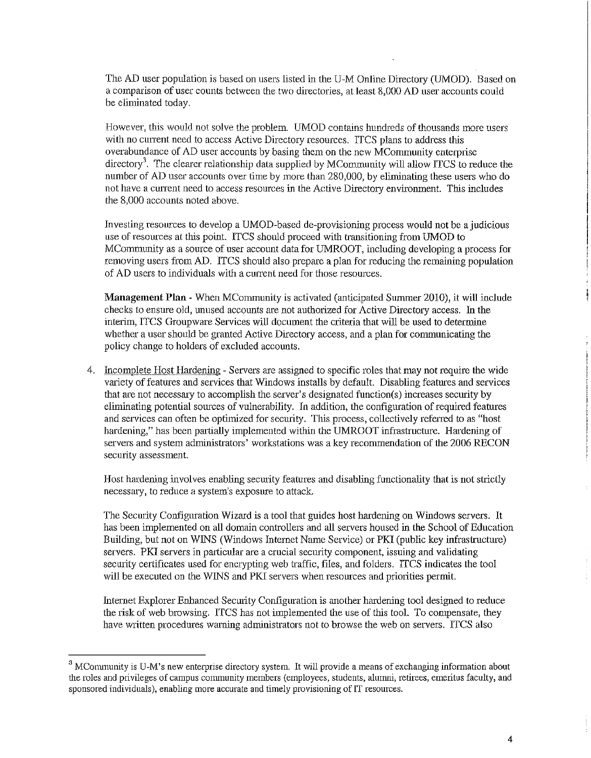The AD user population is based on users listed in the U-M Online Directory (UMOD). Based on a comparison of user counts between the two directories, at least 8,000 AD user accounts could be eliminated today.

**However, this would not solve the problem. IJ1vIOD contains hundreds of thousands more users** with no current need to access Active Directory resources. ITCS plans to address this overabundance of AD user accounts by basing them on the new  $\hat{MC}$ ommunity enterprise directory<sup>3</sup>. The clearer relationship data supplied by MCommunity will allow ITCS to reduce the number of AD user accounts over time by more than 280,000, by eliminating these users who do not have a cnrrent need to access resources in the Active Directory environment. This includes the 8,000 accounts noted above.

Investing resources to develop a UMOD-based de-provisioning process would not be a judicious use of resources at this point. ITCS should proceed with transitioning from UMOD to MCommunity as a source of user account data for UMROOT, including developing a process for removing users from AD. ITCS should also prepare a plan for reducing the remaining population of AD users to individuals with a current need for those resources.

Management **Plan** - When MCommunity is activated (anticipated Summer 2010), it will include checks to ensure old, unused accounts are not authorized for Active Directory access. In the interim, ITCS Groupware Services will document the criteria that will be used to determine whether a user should be granted Active Directory access, and a plan for communicating the policy change to holders of excluded accounts.

4. Incomplete Host Hardening - Servers are assigned to specific roles that may not require the wide variety of features and services that Windows installs by default. Disabling features and services that are not necessary to accomplish the server's designated function(s) increases security by eliminating potential somces of vnlnerability. In addition, the configuration ofrequired features and services can often be optimized for security. This process, collectively referred to as "host hardening," has been partially implemented within the UMROOT infrastructure. Hardening of servers and system administrators' workstations was a key recommendation of the 2006 RECON security assessment.

Host hardening involves enabling security features and disabling functionality that is not strictly necessary, to reduce a system's exposure to attack.

The Security Configuration Wizard is a tool that guides host hardening on Windows servers. It has been implemented on all domain controllers and all servers housed in the School of Education Building, but not on WINS (Windows Internet Name Service) or PKI (public key infrastructure) servers. PKI servers in particular are a crucial security component, issuing and validating secmity certificates used for encrypting web traffic, files, and folders. ITCS indicates the tool will be executed on the WINS and PKI servers when resomces and priorities permit.

Internet Explorer Enhanced Secmity Configuration is another hardening tool designed to reduce the risk of web browsing. ITCS has not implemented the use of this tool. To compensate, they have written procedures warning administrators not to browse the web on servers. ITCS also

4

<sup>3</sup> **MCommunity is V-M's new enterprise directory system. It will provide a means of exchanging information about the roles and privileges of campus community members (employees, students, alumni, retirees, emeritus faculty, and** sponsored individuals), enabling more accurate and timely provisioning of IT resources.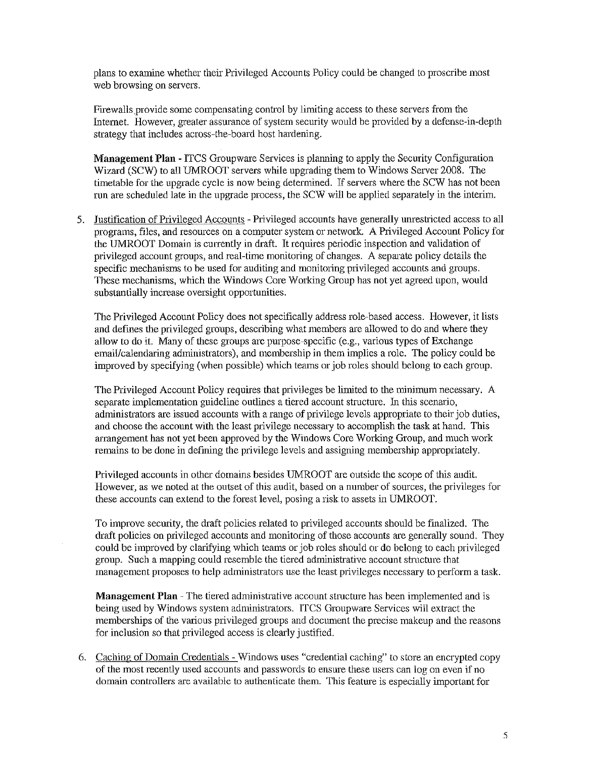plans to examine whether their Privileged Accounts Policy could be changed to proscribe most web browsing on servers.

Firewalls provide some compensating control by limiting access to these servers from the Internet. However, greater assurance of system security would be provided by a defense-in-depth strategy that includes across-the-board host hardening.

**Management Plan -** *ITCS* Groupware Services is planning to apply the Security Configuration Wizard (SCW) to all UMROOT servers while upgrading them to Windows Server 2008. The timetable for the upgrade cycle is now being determined. If servers where the SCW has not been run are scheduled late in the upgrade process, the SCW will be applied separately in the interim.

5. Justification of Privileged Accounts - Privileged accounts have generally unrestricted access to all programs, files, and resources on a computer system or network. A Privileged Account Policy for the UMROOT Domain is currently in draft. It requires periodic inspection and validation of privileged account groups, and real-time monitoring of changes. A separate policy details the specific mechanisms to be used for auditing and monitoring privileged accounts and groups. These mechanisms, which the Windows Core Working Group has not yet agreed npon, would substantially increase oversight opportunities.

The Privileged Account Policy does not specifically address role-based access. However, it lists and defines the privileged groups, describing what members are allowed to do and where they allow to do it. Many of these groups are purpose-specific (e.g., various types of Exchange email/calendaring administrators), and membership in them implies a role. The policy could be improved by specifying (when possible) which teams or job roles should belong to each group.

The Privileged Account Policy requires that privileges be limited to the minimum necessary. A separate implementation guideline outlines a tiered account structure. In this scenario, administrators are issued accounts with a range of privilege levels appropriate to their job duties, and choose the account with the least privilege necessary to accomplish the task at hand. This arrangement has not yet been approved by the Windows Core Working Group, and much work remains to be done in defining the privilege levels and assigning membership appropriately.

Privileged accounts in other domains besides UMROOT are outside the scope of this audit. However, as we noted at the outset of this audit, based on a number of somces, the privileges for these accounts can extend to the forest level, posing a risk to assets in UMROOT.

To improve security, the draft policies related to privileged accounts should be finalized. The draft policies on privileged accounts and monitoring of those accounts are generally sound. They could be improved by clarifying which teams or job roles shonld or do belong to each privileged group. Such a mapping could resemble the tiered administrative account structure that management proposes to help administrators use the least privileges necessary to perform a task.

**Management Plan** - The tiered administrative account structure has been implemented and is being used by Windows system administrators. ITCS Groupware Services will extract the memberships of the various privileged groups and document the precise makeup and the reasons for inclusion so that privileged access is clearly justified.

6. Caching of Domain Credentials - Windows uses "credential caching" to store an encrypted copy of the most recently used accounts and passwords to ensme these users can log on even if no domain controllers are available to authenticate them. This featme is especially important for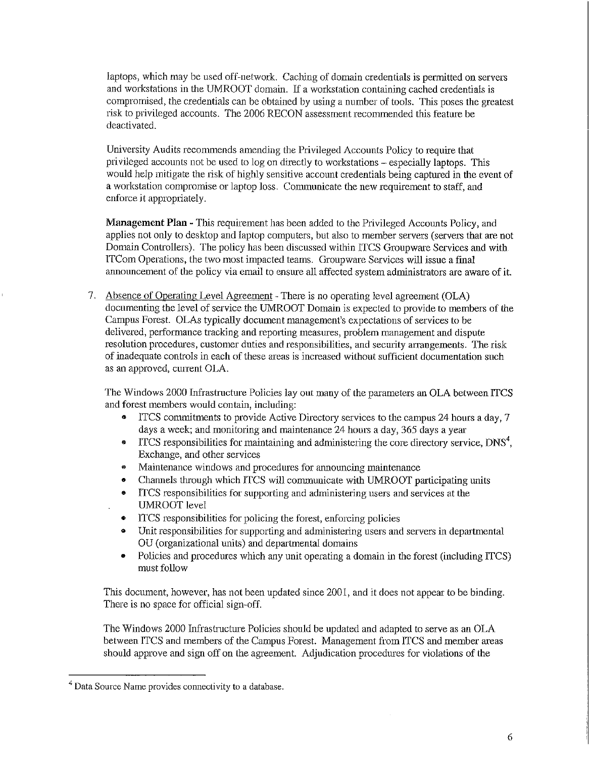laptops, which may be used off-network. Caching of domain credentials is permitted on servers and workstations in the UMROOT domain. If a workstation containing cached credentials is compromised, the credentials can be obtained by using a number of tools. This poses the greatest risk to privileged accounts. The 2006 RECON assessment recommended this featme be deactivated.

University Audits recommends amending the Privileged Accounts Policy to require that privileged accounts not be used to log on directly to workstations - especially laptops. This would help mitigate the risk of highly sensitive account credentials being captured in the event of a workstation compromise or laptop loss. Cormnunicate the new requirement to staff, and enforce it appropriately.

**Management Plan -** This requirement has been added to the Privileged Accounts Policy, and applies not only to desktop and laptop computers, but also to member servers (servers that are not Domain Controllers). The policy has been discussed within ITCS Groupware Services and with ITCom Operations, the two most impacted teams. Groupware Services will issue a final announcement of the policy via email to ensure all affected system administrators are aware of it.

7. Absence of Operating Level Agreement - There is no operating level agreement (OLA) documenting the level of service the UMROOT Domain is expected to provide to members of the Campus Forest. OLAs typically document management's expectations of services to be delivered, performance tracking and reporting measures, problem management and dispute resolution procedures, customer duties and responsibilities, and security arrangements. The risk of inadequate controls in each of these areas is increased without sufficient documentation such as an approved, current OLA.

The Windows 2000 Infrastructure Policies layout many of the parameters an OLA between *ITCS* and forest members would contain, including:

- e lTCS commitments to provide Active Directory services to the campus 24 hours a day, 7 days a week; and monitoring and maintenance 24 hours a day, 365 days a year
- ITCS responsibilities for maintaining and administering the core directory service,  $DNS^4$ , Exchange, and other services
- <sup>e</sup> Maintenance windows and procedures for announcing maintenance
- Channels through which *ITCS* will communicate with UMROOT participating units
- e ITCS responsibilities for supporting and administering users and services at the UMROOT level
- ITCS responsibilities for policing the forest, enforcing policies
- e Unit responsibilities for supporting and administering users and servers in departmental OU (organizational units) and departmental domains
- Policies and procedures which any unit operating a domain in the forest (including ITCS) must follow

This document, however, has not been updated since 200I, and it does not appear to be binding. There is no space for official sign-off.

The Windows 2000 Infrastructure Policies should be updated and adapted to serve as an OLA between ITCS and members of the Campus Forest. Management from *ITCS* and member areas should approve and sign off on the agreement. Adjudication procedures for violations of the

**<sup>4</sup> Data Source Name provides connectivity to a database.**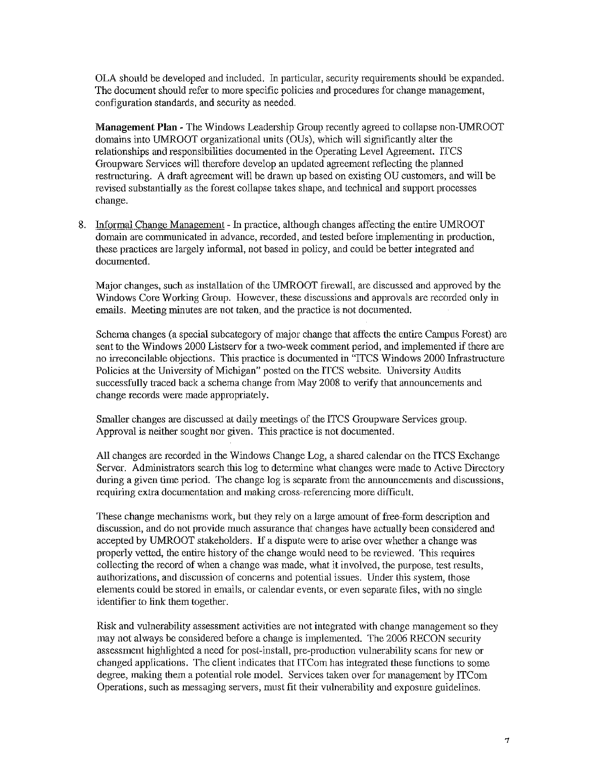OLA should be developed and included. In particular, security requirements should be expanded. The document should refer to more specific policies and procedures for change management, configuration standards, and security as needed.

**Management Plan -** The Windows Leadership Group recently agreed to collapse non-UMROOT domains into UMROOT organizational units (OUs), which will significantly alter the relationships and responsibilities documented in the Operating Level Agreement. ITCS Groupware Services will therefore develop an updated agreement reflecting the planned restructuring, A draft agreement will be drawn up based on existing OU customers, and will be revised substantially as the forest collapse takes shape, and technical and support processes change,

8, Informal Change Management - In practice, although changes affecting the entire UMROOT domain are communicated in advance, recorded, and tested before implementing in production, these practices are largely informal, not based in policy, and could be better integrated and documented.

Major changes, such as installation of the UMROOT firewall, are discussed and approved by the Windows Core Working Group. However, these discussions and approvals are recorded only in emails, Meeting minutes are not taken, and the practice is not documented,

Schema changes (a special subcategory of major change that affects the entire Campus Forest) ar'e sent to the Windows 2000 Listserv for a two-week comment period, and implemented if there are no irreconcilable objections, This practice is documented in "ITCS Windows 2000 Infrastructure Policies at the University of Michigan" posted on the ITCS website. University Audits successfully traced back a schema change from May 2008 to verify that announcements and change records were made appropriately.

Smaller changes are discussed at daily meetings of the ITCS Groupware Services group. Approval is neither sought nor given, This practice is not documented,

All changes are recorded in the Windows Change Log, a shared calendar on the ITCS Exchange Server. Administrators search this log to determine what changes were made to Active Directory during a given time period. The change log is separate from the announcements and discussions, requiring extra documentation and making cross-referencing more difficult.

These change mechanisms work, but they rely on a large amount of free-form description and discussion, and do not provide much assurance that changes have actually been considered and accepted by UMROOT stakeholders, If a dispute were to ar'ise over whether a change was properly vetted, the entire history of the change would need to be reviewed. This requires collecting the record of when a change was made, what it involved, the purpose, test results, authorizations, and discussion of concerns and potential issues. Under this system, those elements could be stored in emails, or calendar events, or even separate files, with no single identifier to link them together.

Risk and vulnerability assessment activities are not integrated with change management so they may not always be considered before a change is implemented, The 2006 RECON security assessment highlighted a need for post-install, pre-production vulnerability scans for new or changed applications, The client indicates that ITCom has integrated these functions to some degree, making them a potential role model. Services taken over for management by ITCom Operations, such as messaging servers, must fit their vulnerability and exposure guidelines.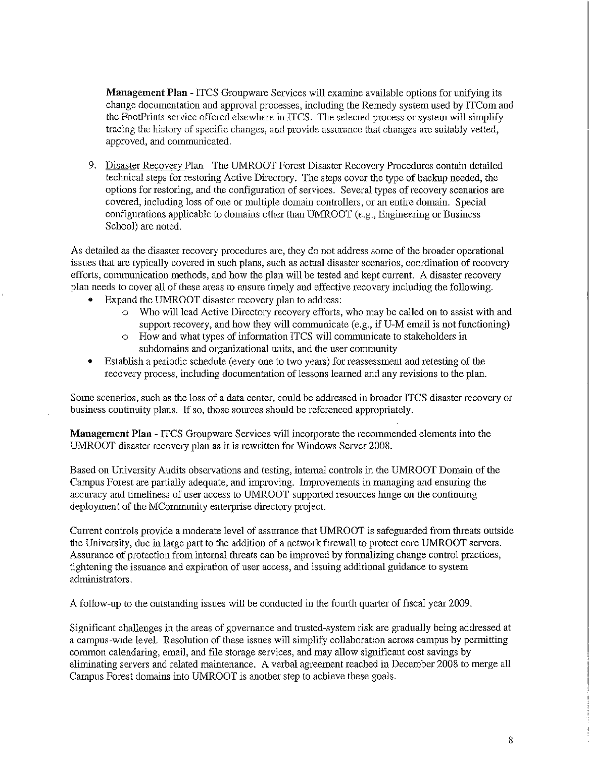**Management Plan** - ITCS Groupware Services will examine available options for unifying its change documentation and approval processes, including the Remedy system used by ITCom and the FootPrints service offered elsewhere in ITCS. The selected process or system will simplify tracing the history of specific changes, and provide assurancc that chauges arc suitably vetted, approved, and communicated.

9. Disaster Recovery PIau - The UMROOT Forest Disaster Recovery Procedures contain detailed technical steps for restoring Active Directory. The steps cover the type of backup needed, the options for restoring, and the configuration of services. Several types of recovery scenarios are covered, including loss of one or multiple domain controllers, or au entire domain. Special configurations applicable to domains other than UMROOT (e.g., Engineering or Business School) are noted.

As detailed as the disaster recovery procedures are, they do not address some of the broader operational issues that are typically covered in such plans, such as actual disaster scenarios, coordination of recovery efforts, communication methods, and how the plan will be tested and kept current. A disaster recovery plan needs to cover all of these areas to ensure timely and effective recovery including the following.

- Expand the UMROOT disaster recovery plan to address:
	- a Who will lead Active Directory recovery efforts, who may be called on to assist with and support recovery, and how they will communicate (e.g., if U-M email is not functioning)
	- a How and what types of information ITCS will communicate to stakeholders in subdomains and organizational units, and the user community
- Establish a periodic schedule (every one to two years) for reassessment and retesting of the recovery process, including documentation of lessons learned and any revisions to the plan.

Some scenarios, such as the loss of a data center, could be addressed in broader ITCS disaster recovery or business continuity plans. If so, those sources should be referenced appropriately.

**Management Plan** - ITCS Groupware Services will incorporate the recommended elements into the UMROOT disaster recovery plan as it is rewritten for Windows Server 2008.

Based on University Audits observations and testing, intemal controls in the UMROOT Domain of the Campus Forest are partially adequate, and improving. Improvements in managing and ensuring the accuracy and timeliness of user access to UMROOT-supported resources hiuge on the continuing deployment of the MCommunity enterprise directory project.

Current controls provide a moderate level of assurance that UMROOT is safeguarded from threats outside the University, due in large part to the addition of a network firewall to protect core UMROOT servers. Assurance of protection from internal threats can be improved by formalizing change control practices, tightening the issuance aud expiration of user access, and issuing additional guidance to system administrators.

A follow-up to the outstanding issues will be conducted in the fourth quarter of fiscal yem 2009.

Significant challenges in the areas of governance and trusted-system risk are gradually being addressed at a campus-wide level. Resolution of these issues will simplify collaboration across campus by permitting common calendaring, email, and file storage services, and may allow significant cost savings by eliminating servers and related maintenance. A verbal agreement reached in December 2008 to merge all Campus Forest domains into UMROOT is another step to achieve these goals.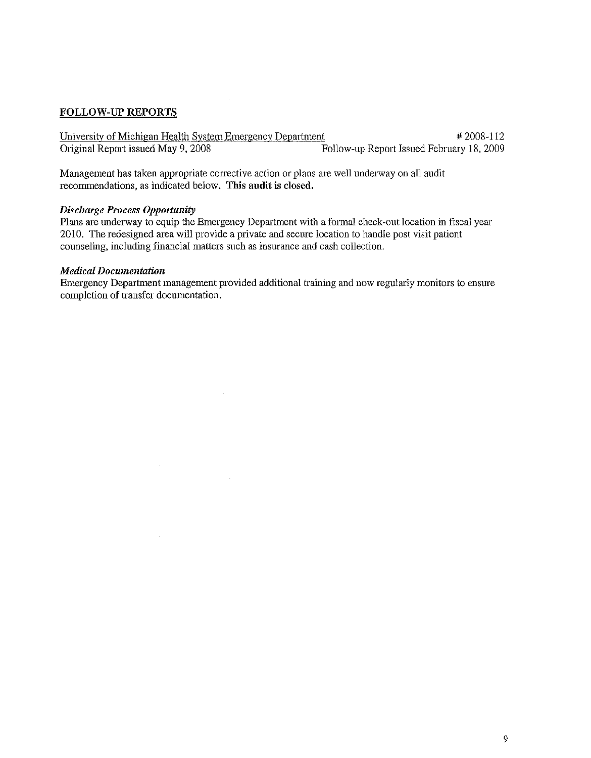## **FOLLOW-UP REPORTS**

University of Michigan Health System Emergency Department # 2008-112<br>Original Report issued May 9, 2008<br>Follow-up Report Issued February 18, 2009 Follow-up Report Issued February 18, 2009

Management has taken appropriate corrective action or plans are well underway on all audit recommendations, as indicated below. This audit is closed.

 $\sim$ 

 $\bar{z}$ 

### *Discharge Process Opportunity*

Plans are underway to equip the Emergency Department with a formal check-out location in fiscal year 2010. The redesigned area will provide a private and secure location to handle post visit patient counseling, including financial matters such as insurance and cash collection.

#### *Medical Documentation*

Emergency Department management provided additional training and now regularly monitors to ensure completion of transfer documentation.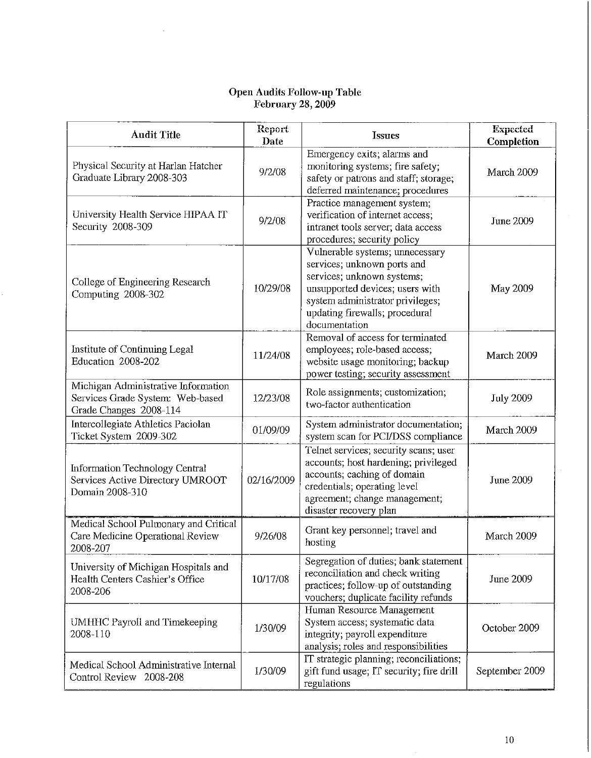# Open Andits Follow-up Table February 28,2009

| <b>Audit Title</b>                                                                                | Report<br>Date | <b>Issues</b>                                                                                                                                                                                                          | <b>Expected</b><br>Completion |
|---------------------------------------------------------------------------------------------------|----------------|------------------------------------------------------------------------------------------------------------------------------------------------------------------------------------------------------------------------|-------------------------------|
| Physical Security at Harlan Hatcher<br>Graduate Library 2008-303                                  | 9/2/08         | Emergency exits; alarms and<br>monitoring systems; fire safety;<br>safety or patrons and staff; storage;<br>deferred maintenance; procedures                                                                           | March 2009                    |
| University Health Service HIPAA IT<br>Security 2008-309                                           | 9/2/08         | Practice management system;<br>verification of internet access;<br>intranet tools server; data access<br>procedures; security policy                                                                                   | June 2009                     |
| College of Engineering Research<br>Computing 2008-302                                             | 10/29/08       | Vulnerable systems; unnecessary<br>services; unknown ports and<br>services; unknown systems;<br>unsupported devices; users with<br>system administrator privileges;<br>updating firewalls; procedural<br>documentation | <b>May 2009</b>               |
| Institute of Continuing Legal<br>Education 2008-202                                               | 11/24/08       | Removal of access for terminated<br>employees; role-based access;<br>website usage monitoring; backup<br>power testing; security assessment                                                                            | March 2009                    |
| Michigan Administrative Information<br>Services Grade System: Web-based<br>Grade Changes 2008-114 | 12/23/08       | Role assignments; customization;<br>two-factor authentication                                                                                                                                                          | <b>July 2009</b>              |
| Intercollegiate Athletics Paciolan<br>Ticket System 2009-302                                      | 01/09/09       | System administrator documentation;<br>system scan for PCI/DSS compliance                                                                                                                                              | March 2009                    |
| <b>Information Technology Central</b><br>Services Active Directory UMROOT<br>Domain 2008-310      | 02/16/2009     | Telnet services; security scans; user<br>accounts; host hardening; privileged<br>accounts; caching of domain<br>credentials; operating level<br>agreement; change management;<br>disaster recovery plan                | <b>June 2009</b>              |
| Medical School Pulmonary and Critical<br>Care Medicine Operational Review<br>2008-207             | 9/26/08        | Grant key personnel; travel and<br>hosting                                                                                                                                                                             | March 2009                    |
| University of Michigan Hospitals and<br>Health Centers Cashier's Office<br>2008-206               | 10/17/08       | Segregation of duties; bank statement<br>reconciliation and check writing<br>practices; follow-up of outstanding<br>vouchers; duplicate facility refunds                                                               | June 2009                     |
| UMHHC Payroll and Timekeeping<br>2008-110                                                         | 1/30/09        | Human Resource Management<br>System access; systematic data<br>integrity; payroll expenditure<br>analysis; roles and responsibilities                                                                                  | October 2009                  |
| Medical School Administrative Internal<br>Control Review 2008-208                                 | 1/30/09        | IT strategic planning; reconciliations;<br>gift fund usage; IT security; fire drill<br>regulations                                                                                                                     | September 2009                |

i.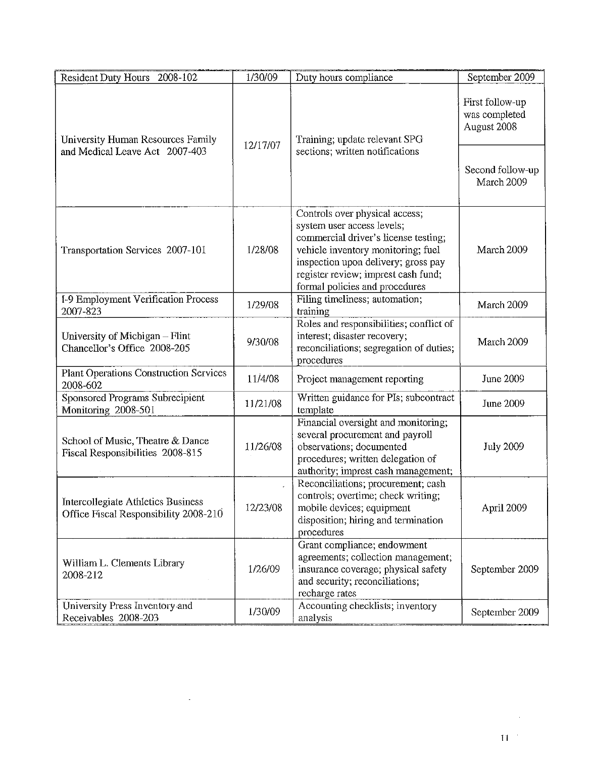| Resident Duty Hours 2008-102                                                       | 1/30/09  | Duty hours compliance                                                                                                                                                                                                                                      | September 2009                                  |
|------------------------------------------------------------------------------------|----------|------------------------------------------------------------------------------------------------------------------------------------------------------------------------------------------------------------------------------------------------------------|-------------------------------------------------|
| University Human Resources Family<br>and Medical Leave Act 2007-403                | 12/17/07 | Training; update relevant SPG<br>sections; written notifications                                                                                                                                                                                           | First follow-up<br>was completed<br>August 2008 |
|                                                                                    |          |                                                                                                                                                                                                                                                            | Second follow-up<br>March 2009                  |
| Transportation Services 2007-101                                                   | 1/28/08  | Controls over physical access;<br>system user access levels;<br>commercial driver's license testing;<br>vehicle inventory monitoring; fuel<br>inspection upon delivery; gross pay<br>register review; imprest cash fund;<br>formal policies and procedures | March 2009                                      |
| I-9 Employment Verification Process<br>2007-823                                    | 1/29/08  | Filing timeliness; automation;<br>training                                                                                                                                                                                                                 | March 2009                                      |
| University of Michigan - Flint<br>Chancellor's Office 2008-205                     | 9/30/08  | Roles and responsibilities; conflict of<br>interest; disaster recovery;<br>reconciliations; segregation of duties;<br>procedures                                                                                                                           | March 2009                                      |
| <b>Plant Operations Construction Services</b><br>2008-602                          | 11/4/08  | Project management reporting                                                                                                                                                                                                                               | June 2009                                       |
| Sponsored Programs Subrecipient<br>Monitoring 2008-501                             | 11/21/08 | Written guidance for PIs; subcontract<br>template                                                                                                                                                                                                          | June 2009                                       |
| School of Music, Theatre & Dance<br>Fiscal Responsibilities 2008-815               | 11/26/08 | Financial oversight and monitoring;<br>several procurement and payroll<br>observations; documented<br>procedures; written delegation of<br>authority; imprest cash management;                                                                             | <b>July 2009</b>                                |
| <b>Intercollegiate Athletics Business</b><br>Office Fiscal Responsibility 2008-210 | 12/23/08 | Reconciliations; procurement; cash<br>controls; overtime; check writing;<br>mobile devices; equipment<br>disposition; hiring and termination<br>procedures                                                                                                 | April 2009                                      |
| William L. Clements Library<br>2008-212                                            | 1/26/09  | Grant compliance; endowment<br>agreements; collection management;<br>insurance coverage; physical safety<br>and security; reconciliations;<br>recharge rates                                                                                               | September 2009                                  |
| University Press Inventory and<br>Receivables 2008-203                             | 1/30/09  | Accounting checklists; inventory<br>analysis                                                                                                                                                                                                               | September 2009                                  |

 $\sim 10^{11}$  km  $^{-1}$ 

 $\sim 10^6$